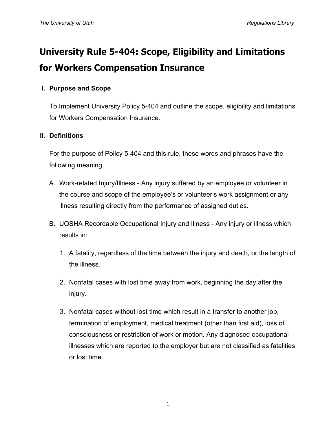# **University Rule 5-404: Scope, Eligibility and Limitations for Workers Compensation Insurance**

# **I. Purpose and Scope**

To Implement University Policy 5-404 and outline the scope, eligibility and limitations for Workers Compensation Insurance.

# **II. Definitions**

For the purpose of Policy 5-404 and this rule, these words and phrases have the following meaning.

- A. Work-related Injury/Illness Any injury suffered by an employee or volunteer in the course and scope of the employee's or volunteer's work assignment or any illness resulting directly from the performance of assigned duties.
- B. UOSHA Recordable Occupational Injury and Illness Any injury or illness which results in:
	- 1. A fatality, regardless of the time between the injury and death, or the length of the illness.
	- 2. Nonfatal cases with lost time away from work, beginning the day after the injury.
	- 3. Nonfatal cases without lost time which result in a transfer to another job, termination of employment, medical treatment (other than first aid), loss of consciousness or restriction of work or motion. Any diagnosed occupational illnesses which are reported to the employer but are not classified as fatalities or lost time.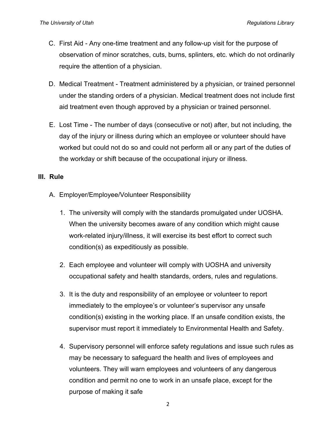- C. First Aid Any one-time treatment and any follow-up visit for the purpose of observation of minor scratches, cuts, burns, splinters, etc. which do not ordinarily require the attention of a physician.
- D. Medical Treatment Treatment administered by a physician, or trained personnel under the standing orders of a physician. Medical treatment does not include first aid treatment even though approved by a physician or trained personnel.
- E. Lost Time The number of days (consecutive or not) after, but not including, the day of the injury or illness during which an employee or volunteer should have worked but could not do so and could not perform all or any part of the duties of the workday or shift because of the occupational injury or illness.

## **III. Rule**

- A. Employer/Employee/Volunteer Responsibility
	- 1. The university will comply with the standards promulgated under UOSHA. When the university becomes aware of any condition which might cause work-related injury/illness, it will exercise its best effort to correct such condition(s) as expeditiously as possible.
	- 2. Each employee and volunteer will comply with UOSHA and university occupational safety and health standards, orders, rules and regulations.
	- 3. It is the duty and responsibility of an employee or volunteer to report immediately to the employee's or volunteer's supervisor any unsafe condition(s) existing in the working place. If an unsafe condition exists, the supervisor must report it immediately to Environmental Health and Safety.
	- 4. Supervisory personnel will enforce safety regulations and issue such rules as may be necessary to safeguard the health and lives of employees and volunteers. They will warn employees and volunteers of any dangerous condition and permit no one to work in an unsafe place, except for the purpose of making it safe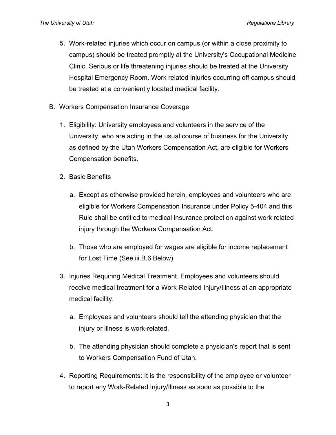- 5. Work-related injuries which occur on campus (or within a close proximity to campus) should be treated promptly at the University's Occupational Medicine Clinic. Serious or life threatening injuries should be treated at the University Hospital Emergency Room. Work related injuries occurring off campus should be treated at a conveniently located medical facility.
- B. Workers Compensation Insurance Coverage
	- 1. Eligibility: University employees and volunteers in the service of the University, who are acting in the usual course of business for the University as defined by the Utah Workers Compensation Act, are eligible for Workers Compensation benefits.
	- 2. Basic Benefits
		- a. Except as otherwise provided herein, employees and volunteers who are eligible for Workers Compensation Insurance under Policy 5-404 and this Rule shall be entitled to medical insurance protection against work related injury through the Workers Compensation Act.
		- b. Those who are employed for wages are eligible for income replacement for Lost Time (See iii.B.6.Below)
	- 3. Injuries Requiring Medical Treatment. Employees and volunteers should receive medical treatment for a Work-Related Injury/Illness at an appropriate medical facility.
		- a. Employees and volunteers should tell the attending physician that the injury or illness is work-related.
		- b. The attending physician should complete a physician's report that is sent to Workers Compensation Fund of Utah.
	- 4. Reporting Requirements: It is the responsibility of the employee or volunteer to report any Work-Related Injury/Illness as soon as possible to the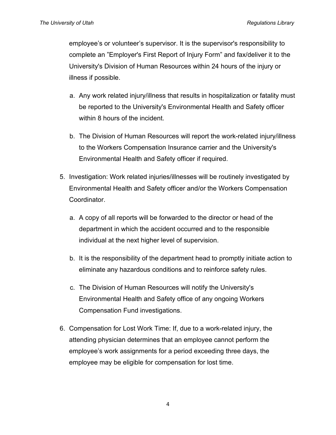employee's or volunteer's supervisor. It is the supervisor's responsibility to complete an "Employer's First Report of Injury Form" and fax/deliver it to the University's Division of Human Resources within 24 hours of the injury or illness if possible.

- a. Any work related injury/illness that results in hospitalization or fatality must be reported to the University's Environmental Health and Safety officer within 8 hours of the incident.
- b. The Division of Human Resources will report the work-related injury/illness to the Workers Compensation Insurance carrier and the University's Environmental Health and Safety officer if required.
- 5. Investigation: Work related injuries/illnesses will be routinely investigated by Environmental Health and Safety officer and/or the Workers Compensation Coordinator.
	- a. A copy of all reports will be forwarded to the director or head of the department in which the accident occurred and to the responsible individual at the next higher level of supervision.
	- b. It is the responsibility of the department head to promptly initiate action to eliminate any hazardous conditions and to reinforce safety rules.
	- c. The Division of Human Resources will notify the University's Environmental Health and Safety office of any ongoing Workers Compensation Fund investigations.
- 6. Compensation for Lost Work Time: If, due to a work-related injury, the attending physician determines that an employee cannot perform the employee's work assignments for a period exceeding three days, the employee may be eligible for compensation for lost time.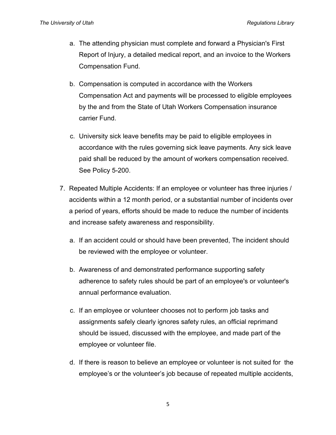- a. The attending physician must complete and forward a Physician's First Report of Injury, a detailed medical report, and an invoice to the Workers Compensation Fund.
- b. Compensation is computed in accordance with the Workers Compensation Act and payments will be processed to eligible employees by the and from the State of Utah Workers Compensation insurance carrier Fund.
- c. University sick leave benefits may be paid to eligible employees in accordance with the rules governing sick leave payments. Any sick leave paid shall be reduced by the amount of workers compensation received. See Policy 5-200.
- 7. Repeated Multiple Accidents: If an employee or volunteer has three injuries / accidents within a 12 month period, or a substantial number of incidents over a period of years, efforts should be made to reduce the number of incidents and increase safety awareness and responsibility.
	- a. If an accident could or should have been prevented, The incident should be reviewed with the employee or volunteer.
	- b. Awareness of and demonstrated performance supporting safety adherence to safety rules should be part of an employee's or volunteer's annual performance evaluation.
	- c. If an employee or volunteer chooses not to perform job tasks and assignments safely clearly ignores safety rules, an official reprimand should be issued, discussed with the employee, and made part of the employee or volunteer file.
	- d. If there is reason to believe an employee or volunteer is not suited for the employee's or the volunteer's job because of repeated multiple accidents,

5